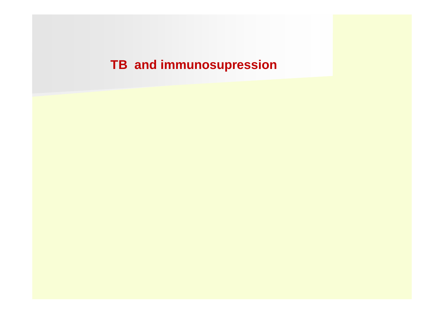# **TB and immunosupression**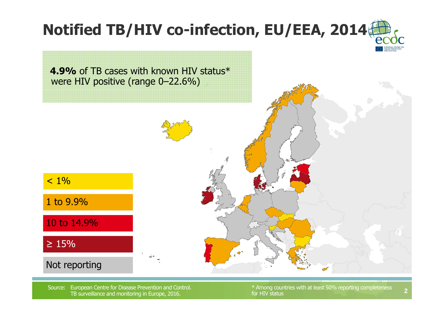# **Notified TB/HIV co-infection, EU/EEA, 2014**



Source: European Centre for Disease Prevention and Control. TB surveillance and monitoring in Europe, 2016.

\* Among countries with at least 50% reporting completeness for HIV status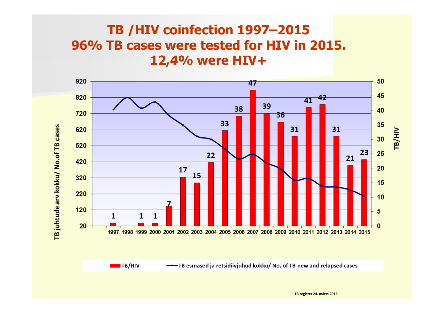## **TB /HIV coinfection 1997–2015 96% TB cases were tested for HIV in 2015. 12,4% were HIV+**



**TB register 24. märts 2016**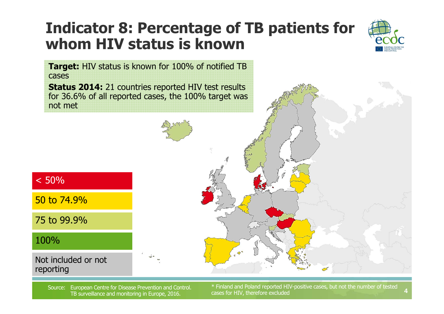## **Indicator 8: Percentage of TB patients for whom HIV status is known**



**4**

**Target:** HIV status is known for 100% of notified TB cases

**Status 2014:** 21 countries reported HIV test results for 36.6% of all reported cases, the 100% target was not met



Source: European Centre for Disease Prevention and Control. **Therefore excluded Source:** European Centre for Disease Prevention and Control. The surveillance and monitoring in Europe, 2016. Cases for HIV, therefore exclude

\* Finland and Poland reported HIV-positive cases, but not the number of tested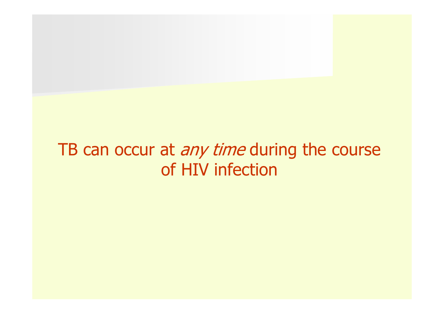# TB can occur at *any time* during the course of HIV infection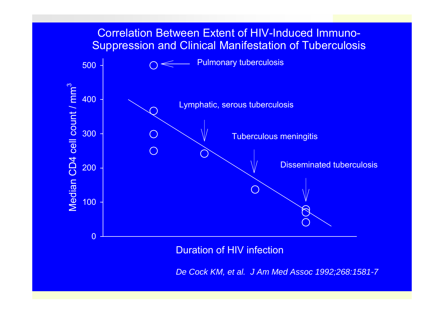#### Correlation Between Extent of HIV-Induced Immuno-Suppression and Clinical Manifestation of Tuberculosis



*De Cock KM, et al. J Am Med Assoc 1992;268:1581-7*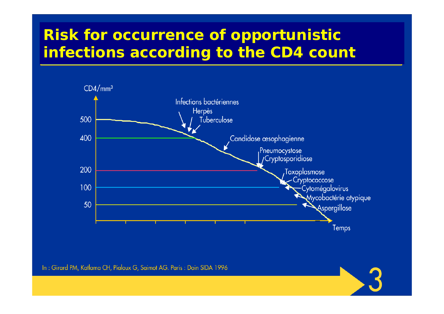## **Risk for occurrence of opportunistic infections according to the CD4 count**



In: Girard PM, Katlama CH, Pialoux G, Saimot AG. Paris: Doin SIDA 1996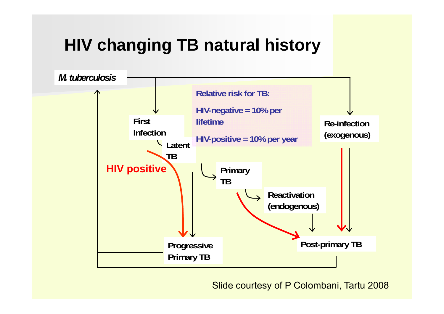# **HIV changing TB natural history**



Slide courtesy of P Colombani, Tartu 2008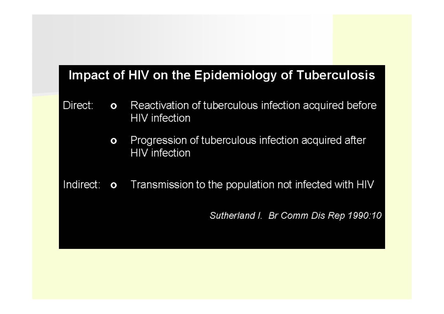#### Impact of HIV on the Epidemiology of Tuberculosis

- Direct: Reactivation of tuberculous infection acquired before  $\mathbf{o}$ **HIV** infection
	- Progression of tuberculous infection acquired after  $\mathbf{o}$ **HIV** infection
- Indirect: o Transmission to the population not infected with HIV

Sutherland I. Br Comm Dis Rep 1990:10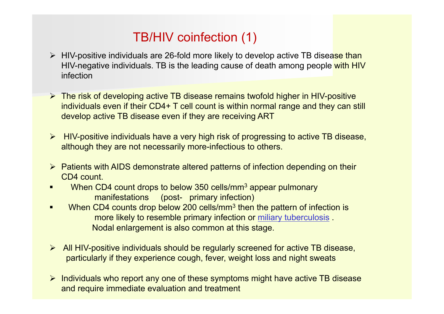## TB/HIV coinfection (1)

- > HIV-positive individuals are 26-fold more likely to develop active TB disease than HIV-negative individuals. TB is the leading cause of death among people with HIV infection
- **► The risk of developing active TB disease remains twofold higher in HIV-positive** individuals even if their CD4+ T cell count is within normal range and they can still develop active TB disease even if they are receiving ART
- HIV-positive individuals have a very high risk of progressing to active TB disease, although they are not necessarily more-infectious to others.
- $\triangleright$  Patients with AIDS demonstrate altered patterns of infection depending on their CD4 count.
- Г When CD4 count drops to below 350 cells/mm<sup>3</sup> appear pulmonary manifestations (post- primary infection)
- $\blacksquare$ When CD4 counts drop below 200 cells/mm<sup>3</sup> then the pattern of infection is more likely to resemble primary infection or miliary tuberculosis . Nodal enlargement is also common at this stage.
- All HIV-positive individuals should be regularly screened for active TB disease, particularly if they experience cough, fever, weight loss and night sweats
- $\triangleright$  Individuals who report any one of these symptoms might have active TB disease and require immediate evaluation and treatment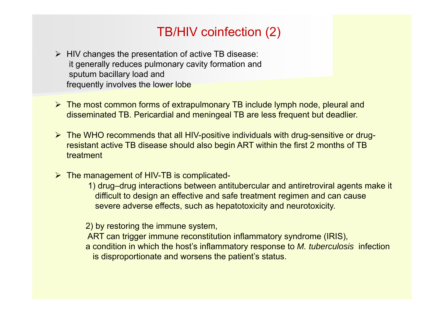## TB/HIV coinfection (2)

- $\triangleright$  HIV changes the presentation of active TB disease: it generally reduces pulmonary cavity formation and sputum bacillary load and frequently involves the lower lobe
- The most common forms of extrapulmonary TB include lymph node, pleural and disseminated TB. Pericardial and meningeal TB are less frequent but deadlier.
- The WHO recommends that all HIV-positive individuals with drug-sensitive or drugresistant active TB disease should also begin ART within the first 2 months of TB treatment
- **► The management of HIV-TB is complicated-**
	- 1) drug–drug interactions between antitubercular and antiretroviral agents make it difficult to design an effective and safe treatment regimen and can cause severe adverse effects, such as hepatotoxicity and neurotoxicity.

2) by restoring the immune system,

- ART can trigger immune reconstitution inflammatory syndrome (IRIS),
- a condition in which the host's inflammatory response to *M. tuberculosis* infection is disproportionate and worsens the patient's status.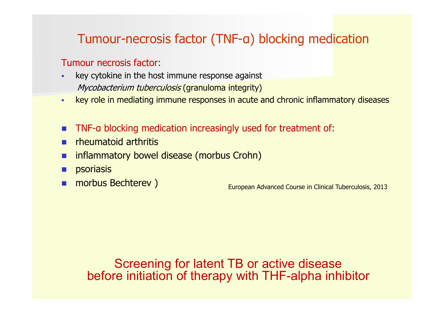## Tumour-necrosis factor (TNF-<sup>α</sup>) blocking medication

#### Tumour necrosis factor:

- × key cytokine in the host immune response against Mycobacterium tuberculosis (granuloma integrity)
- $\mathbf{r}$ key role in mediating immune responses in acute and chronic inflammatory diseases
- F. ■ TNF-a blocking medication increasingly used for treatment of:
- × rheumatoid arthritis
- × inflammatory bowel disease (morbus Crohn)
- × psoriasis
- П

morbus Bechterev ) European Advanced Course in Clinical Tuberculosis, 2013

Screening for latent TB or active disease before initiation of therapy with THF-alpha inhibitor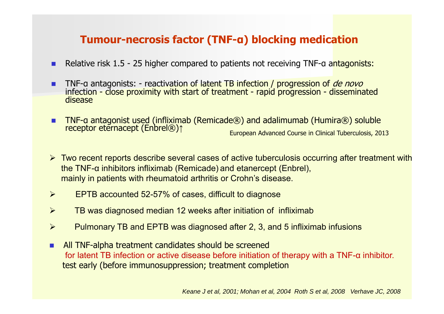#### **Tumour-necrosis factor (TNF-<sup>α</sup>) blocking medication**

- **Relative risk 1.5 25 higher compared to patients not receiving TNF-a antagonists:**
- TNF-a infection - close proximity with start of treatment - rapid progression - disseminated<br>disease
- Г ■ TNF-a antagonist used (infliximab (Remicade®) and adalimumab (Humira®) soluble receptor eternacept (Enbrel®) $\uparrow$ <sup>↑</sup> European Advanced Course in Clinical Tuberculosis, 2013
- Two recent reports describe several cases of active tuberculosis occurring after treatment with the TNF-<sup>α</sup> inhibitors infliximab (Remicade) and etanercept (Enbrel), mainly in patients with rheumatoid arthritis or Crohn's disease.
- $\blacktriangleright$ EPTB accounted 52-57% of cases, difficult to diagnose
- $\blacktriangleright$ TB was diagnosed median 12 weeks after initiation of infliximab
- $\blacktriangleright$ Pulmonary TB and EPTB was diagnosed after 2, 3, and 5 infliximab infusions
- п All TNF-alpha treatment candidates should be screened for latent TB infection or active disease before initiation of therapy with a TNF-α inhibitor. test early (before immunosuppression; treatment completion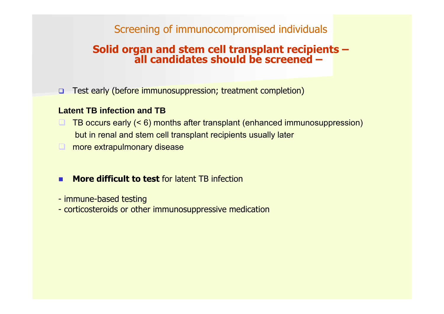#### Screening of immunocompromised individuals

# **Solid organ and stem cell transplant recipients – all candidates should be screened –**

 $\Box$ Test early (before immunosuppression; treatment completion)

#### **Latent TB infection and TB**

- $\Box$  TB occurs early (< 6) months after transplant (enhanced immunosuppression) but in renal and stem cell transplant recipients usually later
- **nambs** more extrapulmonary disease
- Г **More difficult to test** for latent TB infection
- immune-based testing
- corticosteroids or other immunosuppressive medication